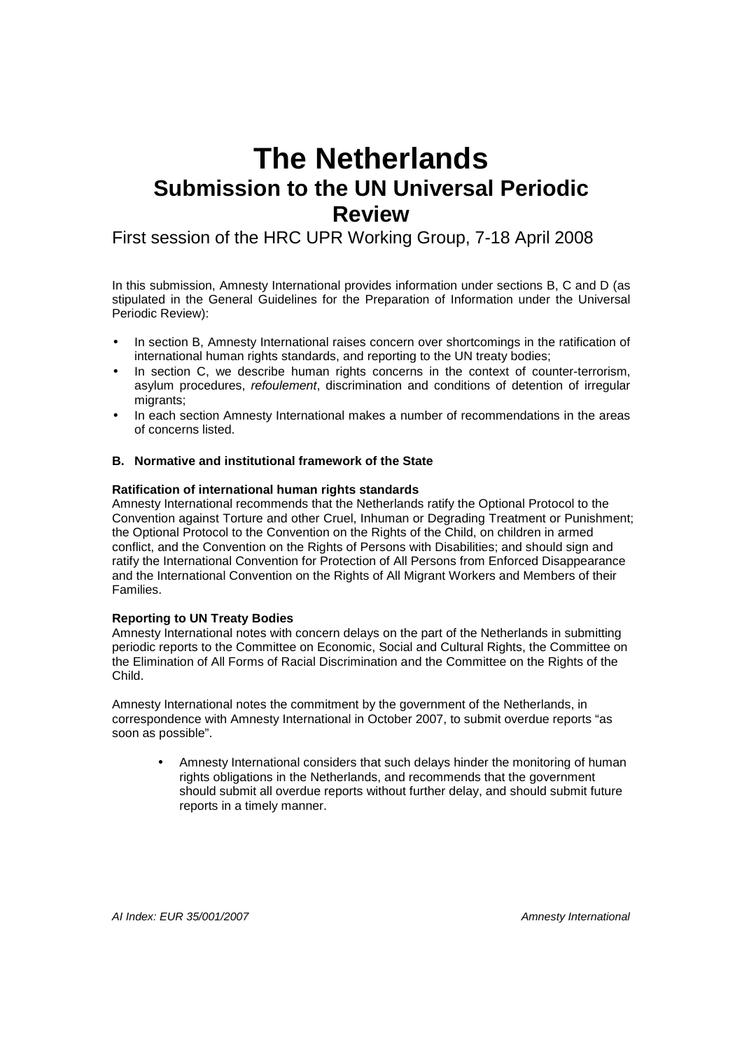# **The Netherlands Submission to the UN Universal Periodic Review**

# First session of the HRC UPR Working Group, 7-18 April 2008

In this submission, Amnesty International provides information under sections B, C and D (as stipulated in the General Guidelines for the Preparation of Information under the Universal Periodic Review):

- In section B, Amnesty International raises concern over shortcomings in the ratification of international human rights standards, and reporting to the UN treaty bodies;
- In section C, we describe human rights concerns in the context of counter-terrorism, asylum procedures, refoulement, discrimination and conditions of detention of irregular migrants;
- In each section Amnesty International makes a number of recommendations in the areas of concerns listed.

# **B. Normative and institutional framework of the State**

# **Ratification of international human rights standards**

Amnesty International recommends that the Netherlands ratify the Optional Protocol to the Convention against Torture and other Cruel, Inhuman or Degrading Treatment or Punishment; the Optional Protocol to the Convention on the Rights of the Child, on children in armed conflict, and the Convention on the Rights of Persons with Disabilities; and should sign and ratify the International Convention for Protection of All Persons from Enforced Disappearance and the International Convention on the Rights of All Migrant Workers and Members of their Families.

#### **Reporting to UN Treaty Bodies**

Amnesty International notes with concern delays on the part of the Netherlands in submitting periodic reports to the Committee on Economic, Social and Cultural Rights, the Committee on the Elimination of All Forms of Racial Discrimination and the Committee on the Rights of the Child.

Amnesty International notes the commitment by the government of the Netherlands, in correspondence with Amnesty International in October 2007, to submit overdue reports "as soon as possible".

• Amnesty International considers that such delays hinder the monitoring of human rights obligations in the Netherlands, and recommends that the government should submit all overdue reports without further delay, and should submit future reports in a timely manner.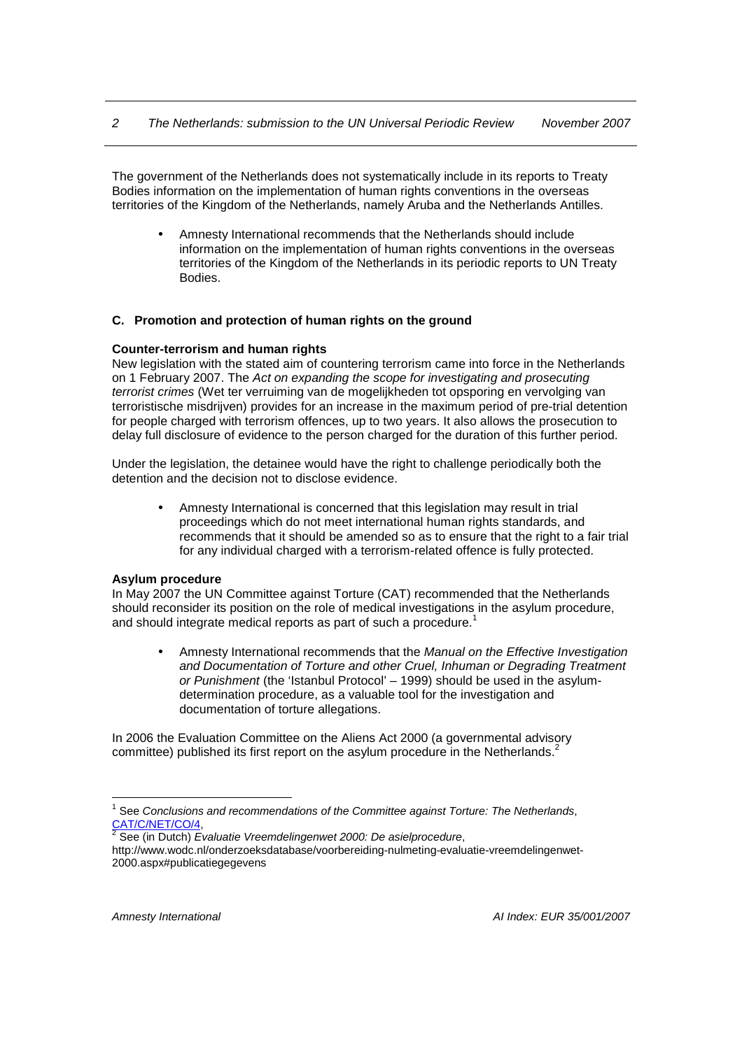The government of the Netherlands does not systematically include in its reports to Treaty Bodies information on the implementation of human rights conventions in the overseas territories of the Kingdom of the Netherlands, namely Aruba and the Netherlands Antilles.

• Amnesty International recommends that the Netherlands should include information on the implementation of human rights conventions in the overseas territories of the Kingdom of the Netherlands in its periodic reports to UN Treaty Bodies.

# **C. Promotion and protection of human rights on the ground**

#### **Counter-terrorism and human rights**

New legislation with the stated aim of countering terrorism came into force in the Netherlands on 1 February 2007. The Act on expanding the scope for investigating and prosecuting terrorist crimes (Wet ter verruiming van de mogelijkheden tot opsporing en vervolging van terroristische misdrijven) provides for an increase in the maximum period of pre-trial detention for people charged with terrorism offences, up to two years. It also allows the prosecution to delay full disclosure of evidence to the person charged for the duration of this further period.

Under the legislation, the detainee would have the right to challenge periodically both the detention and the decision not to disclose evidence.

• Amnesty International is concerned that this legislation may result in trial proceedings which do not meet international human rights standards, and recommends that it should be amended so as to ensure that the right to a fair trial for any individual charged with a terrorism-related offence is fully protected.

#### **Asylum procedure**

In May 2007 the UN Committee against Torture (CAT) recommended that the Netherlands should reconsider its position on the role of medical investigations in the asylum procedure, and should integrate medical reports as part of such a procedure.<sup>1</sup>

Amnesty International recommends that the Manual on the Effective Investigation and Documentation of Torture and other Cruel, Inhuman or Degrading Treatment or Punishment (the 'Istanbul Protocol' – 1999) should be used in the asylumdetermination procedure, as a valuable tool for the investigation and documentation of torture allegations.

In 2006 the Evaluation Committee on the Aliens Act 2000 (a governmental advisory committee) published its first report on the asylum procedure in the Netherlands. $2$ 

 $\overline{a}$ 

 $<sup>1</sup>$  See Conclusions and recommendations of the Committee against Torture: The Netherlands,</sup> <u>CAT/C/NET/CO/4,</u><br><sup>2</sup> See (in Dutch) *Evaluatie Vreemdelingenwet* 2000: De asielprocedure,

http://www.wodc.nl/onderzoeksdatabase/voorbereiding-nulmeting-evaluatie-vreemdelingenwet-2000.aspx#publicatiegegevens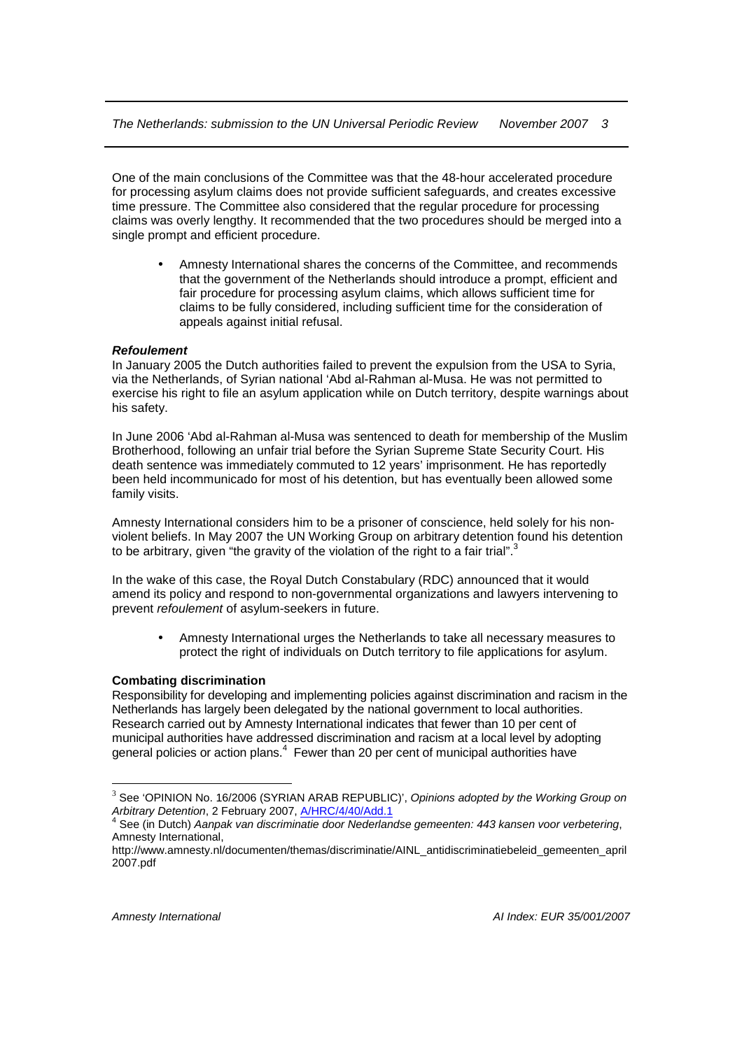One of the main conclusions of the Committee was that the 48-hour accelerated procedure for processing asylum claims does not provide sufficient safeguards, and creates excessive time pressure. The Committee also considered that the regular procedure for processing claims was overly lengthy. It recommended that the two procedures should be merged into a single prompt and efficient procedure.

• Amnesty International shares the concerns of the Committee, and recommends that the government of the Netherlands should introduce a prompt, efficient and fair procedure for processing asylum claims, which allows sufficient time for claims to be fully considered, including sufficient time for the consideration of appeals against initial refusal.

# **Refoulement**

In January 2005 the Dutch authorities failed to prevent the expulsion from the USA to Syria, via the Netherlands, of Syrian national 'Abd al-Rahman al-Musa. He was not permitted to exercise his right to file an asylum application while on Dutch territory, despite warnings about his safety.

In June 2006 'Abd al-Rahman al-Musa was sentenced to death for membership of the Muslim Brotherhood, following an unfair trial before the Syrian Supreme State Security Court. His death sentence was immediately commuted to 12 years' imprisonment. He has reportedly been held incommunicado for most of his detention, but has eventually been allowed some family visits.

Amnesty International considers him to be a prisoner of conscience, held solely for his nonviolent beliefs. In May 2007 the UN Working Group on arbitrary detention found his detention to be arbitrary, given "the gravity of the violation of the right to a fair trial".<sup>3</sup>

In the wake of this case, the Royal Dutch Constabulary (RDC) announced that it would amend its policy and respond to non-governmental organizations and lawyers intervening to prevent refoulement of asylum-seekers in future.

• Amnesty International urges the Netherlands to take all necessary measures to protect the right of individuals on Dutch territory to file applications for asylum.

#### **Combating discrimination**

Responsibility for developing and implementing policies against discrimination and racism in the Netherlands has largely been delegated by the national government to local authorities. Research carried out by Amnesty International indicates that fewer than 10 per cent of municipal authorities have addressed discrimination and racism at a local level by adopting general policies or action plans. $4$  Fewer than 20 per cent of municipal authorities have

 $\overline{a}$ 

 $3$  See 'OPINION No. 16/2006 (SYRIAN ARAB REPUBLIC)', Opinions adopted by the Working Group on Arbitrary Detention, 2 February 2007, *A/HRC/4/40/Add.1*<br><sup>4</sup> See (in Dutch), Aannek van diesriminatie deer Nederlan

See (in Dutch) Aanpak van discriminatie door Nederlandse gemeenten: 443 kansen voor verbetering, Amnesty International,

http://www.amnesty.nl/documenten/themas/discriminatie/AINL\_antidiscriminatiebeleid\_gemeenten\_april 2007.pdf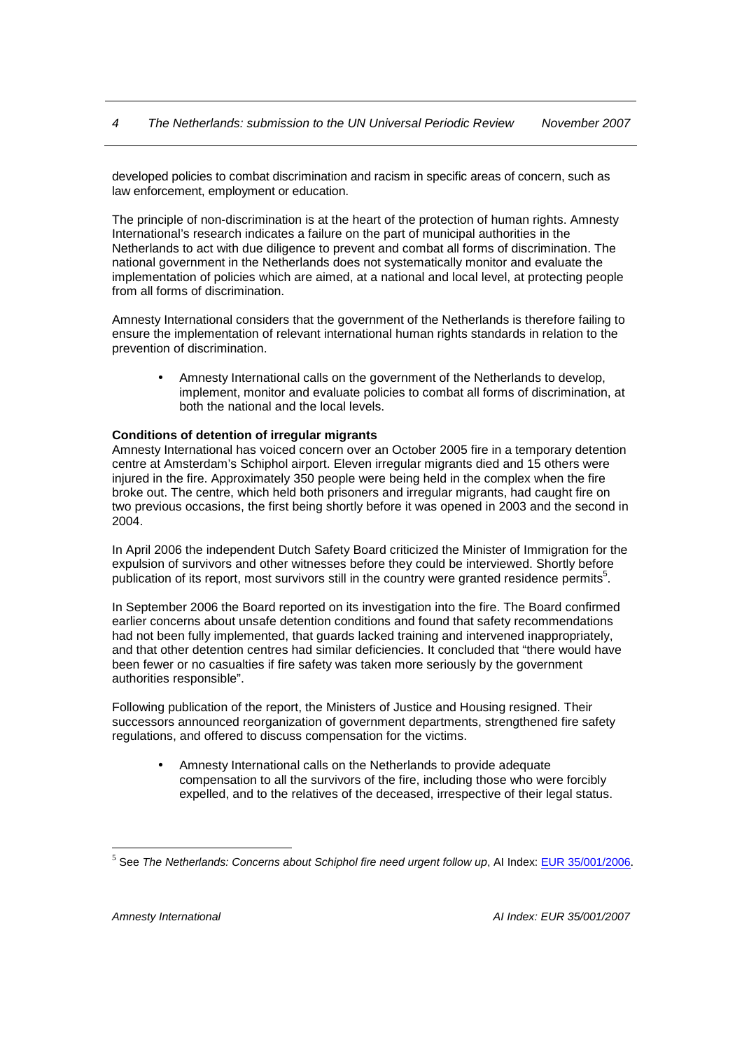developed policies to combat discrimination and racism in specific areas of concern, such as law enforcement, employment or education.

The principle of non-discrimination is at the heart of the protection of human rights. Amnesty International's research indicates a failure on the part of municipal authorities in the Netherlands to act with due diligence to prevent and combat all forms of discrimination. The national government in the Netherlands does not systematically monitor and evaluate the implementation of policies which are aimed, at a national and local level, at protecting people from all forms of discrimination.

Amnesty International considers that the government of the Netherlands is therefore failing to ensure the implementation of relevant international human rights standards in relation to the prevention of discrimination.

• Amnesty International calls on the government of the Netherlands to develop, implement, monitor and evaluate policies to combat all forms of discrimination, at both the national and the local levels.

# **Conditions of detention of irregular migrants**

Amnesty International has voiced concern over an October 2005 fire in a temporary detention centre at Amsterdam's Schiphol airport. Eleven irregular migrants died and 15 others were injured in the fire. Approximately 350 people were being held in the complex when the fire broke out. The centre, which held both prisoners and irregular migrants, had caught fire on two previous occasions, the first being shortly before it was opened in 2003 and the second in 2004.

In April 2006 the independent Dutch Safety Board criticized the Minister of Immigration for the expulsion of survivors and other witnesses before they could be interviewed. Shortly before publication of its report, most survivors still in the country were granted residence permits<sup>5</sup>.

In September 2006 the Board reported on its investigation into the fire. The Board confirmed earlier concerns about unsafe detention conditions and found that safety recommendations had not been fully implemented, that guards lacked training and intervened inappropriately, and that other detention centres had similar deficiencies. It concluded that "there would have been fewer or no casualties if fire safety was taken more seriously by the government authorities responsible".

Following publication of the report, the Ministers of Justice and Housing resigned. Their successors announced reorganization of government departments, strengthened fire safety regulations, and offered to discuss compensation for the victims.

• Amnesty International calls on the Netherlands to provide adequate compensation to all the survivors of the fire, including those who were forcibly expelled, and to the relatives of the deceased, irrespective of their legal status.

 $\overline{a}$ 

<sup>&</sup>lt;sup>5</sup> See The Netherlands: Concerns about Schiphol fire need urgent follow up, AI Index: **EUR 35/001/2006**.